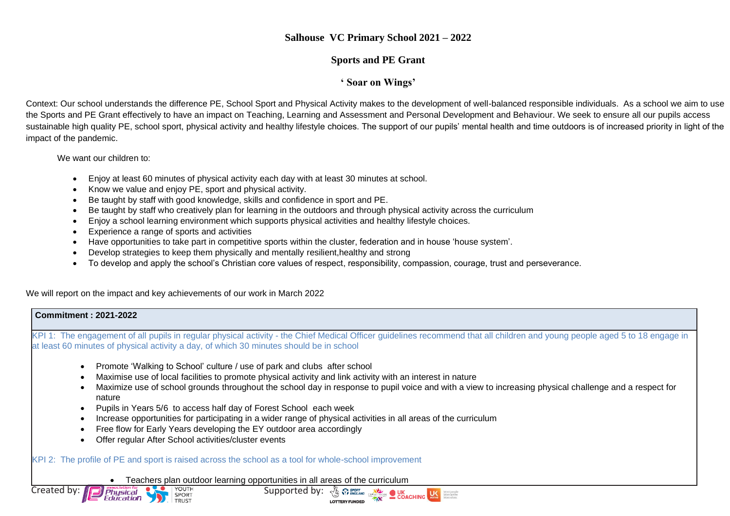## **Salhouse VC Primary School 2021 – 2022**

### **Sports and PE Grant**

### **' Soar on Wings'**

Context: Our school understands the difference PE, School Sport and Physical Activity makes to the development of well-balanced responsible individuals. As a school we aim to use the Sports and PE Grant effectively to have an impact on Teaching, Learning and Assessment and Personal Development and Behaviour. We seek to ensure all our pupils access sustainable high quality PE, school sport, physical activity and healthy lifestyle choices. The support of our pupils' mental health and time outdoors is of increased priority in light of the impact of the pandemic.

We want our children to:

- Enjoy at least 60 minutes of physical activity each day with at least 30 minutes at school.
- Know we value and enjoy PE, sport and physical activity.
- Be taught by staff with good knowledge, skills and confidence in sport and PE.
- Be taught by staff who creatively plan for learning in the outdoors and through physical activity across the curriculum
- Enjoy a school learning environment which supports physical activities and healthy lifestyle choices.
- Experience a range of sports and activities
- Have opportunities to take part in competitive sports within the cluster, federation and in house 'house system'.
- Develop strategies to keep them physically and mentally resilient,healthy and strong
- To develop and apply the school's Christian core values of respect, responsibility, compassion, courage, trust and perseverance.

We will report on the impact and key achievements of our work in March 2022

#### **Commitment : 2021-2022**

KPI 1: The engagement of all pupils in regular physical activity - the Chief Medical Officer guidelines recommend that all children and young people aged 5 to 18 engage in at least 60 minutes of physical activity a day, of which 30 minutes should be in school

- Promote 'Walking to School' culture / use of park and clubs after school
- Maximise use of local facilities to promote physical activity and link activity with an interest in nature
- Maximize use of school grounds throughout the school day in response to pupil voice and with a view to increasing physical challenge and a respect for nature
- Pupils in Years 5/6 to access half day of Forest School each week
- Increase opportunities for participating in a wider range of physical activities in all areas of the curriculum
- Free flow for Early Years developing the EY outdoor area accordingly
- Offer regular After School activities/cluster events

KPI 2: The profile of PE and sport is raised across the school as a tool for whole-school improvement

• Teachers plan outdoor learning opportunities in all areas of the curriculum



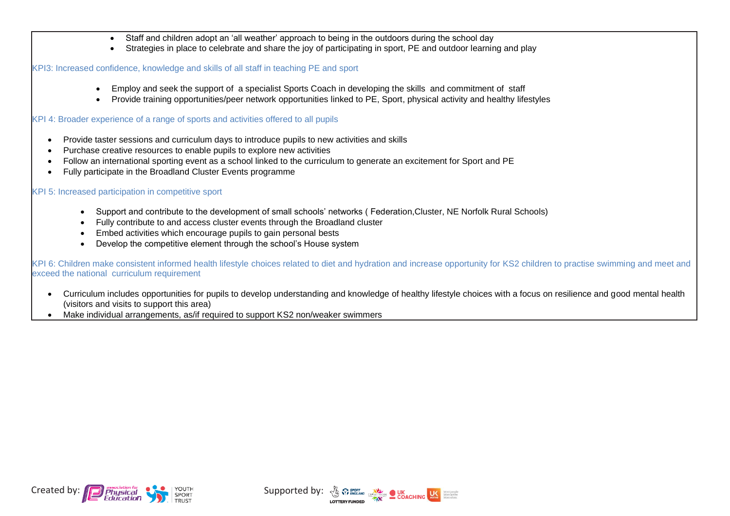- Staff and children adopt an 'all weather' approach to being in the outdoors during the school day
- Strategies in place to celebrate and share the joy of participating in sport, PE and outdoor learning and play

KPI3: Increased confidence, knowledge and skills of all staff in teaching PE and sport

- Employ and seek the support of a specialist Sports Coach in developing the skills and commitment of staff
- Provide training opportunities/peer network opportunities linked to PE, Sport, physical activity and healthy lifestyles

KPI 4: Broader experience of a range of sports and activities offered to all pupils

- Provide taster sessions and curriculum days to introduce pupils to new activities and skills
- Purchase creative resources to enable pupils to explore new activities
- Follow an international sporting event as a school linked to the curriculum to generate an excitement for Sport and PE
- Fully participate in the Broadland Cluster Events programme

# KPI 5: Increased participation in competitive sport

- Support and contribute to the development of small schools' networks ( Federation,Cluster, NE Norfolk Rural Schools)
- Fully contribute to and access cluster events through the Broadland cluster
- Embed activities which encourage pupils to gain personal bests
- Develop the competitive element through the school's House system

KPI 6: Children make consistent informed health lifestyle choices related to diet and hydration and increase opportunity for KS2 children to practise swimming and meet and exceed the national curriculum requirement

- Curriculum includes opportunities for pupils to develop understanding and knowledge of healthy lifestyle choices with a focus on resilience and good mental health (visitors and visits to support this area)
- Make individual arrangements, as/if required to support KS2 non/weaker swimmers



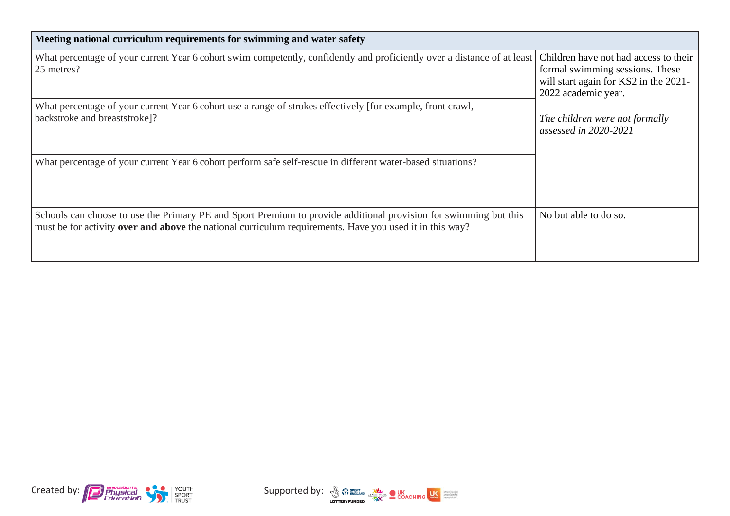| Meeting national curriculum requirements for swimming and water safety                                                                                                                                                             |                                                                                                                                          |  |  |  |
|------------------------------------------------------------------------------------------------------------------------------------------------------------------------------------------------------------------------------------|------------------------------------------------------------------------------------------------------------------------------------------|--|--|--|
| What percentage of your current Year 6 cohort swim competently, confidently and proficiently over a distance of at least<br>25 metres?                                                                                             | Children have not had access to their<br>formal swimming sessions. These<br>will start again for KS2 in the 2021-<br>2022 academic year. |  |  |  |
| What percentage of your current Year 6 cohort use a range of strokes effectively [for example, front crawl,<br>backstroke and breaststroke]?                                                                                       | The children were not formally<br>assessed in 2020-2021                                                                                  |  |  |  |
| What percentage of your current Year 6 cohort perform safe self-rescue in different water-based situations?                                                                                                                        |                                                                                                                                          |  |  |  |
| Schools can choose to use the Primary PE and Sport Premium to provide additional provision for swimming but this<br>must be for activity <b>over and above</b> the national curriculum requirements. Have you used it in this way? | No but able to do so.                                                                                                                    |  |  |  |



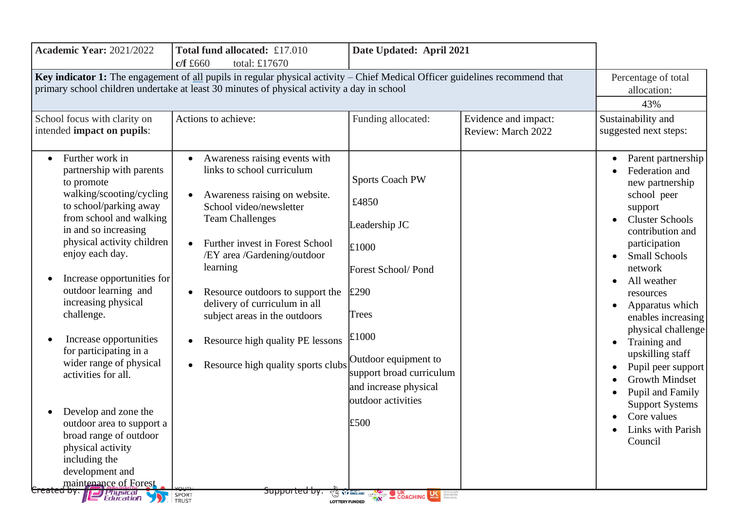| <b>Academic Year: 2021/2022</b>                                                                                                                                                                                                                                                                                                                                                                                                                                                                                                                                                                                                        | Total fund allocated: £17.010<br>c/f f660<br>total: £17670                                                                                                                                                                                                                                                                                                                                                                                                                                                                                          | Date Updated: April 2021                                                                                                                                                                                                                       |                                            |                                                                                                                                                                                                                                                                                                                                                                                                                                                                             |
|----------------------------------------------------------------------------------------------------------------------------------------------------------------------------------------------------------------------------------------------------------------------------------------------------------------------------------------------------------------------------------------------------------------------------------------------------------------------------------------------------------------------------------------------------------------------------------------------------------------------------------------|-----------------------------------------------------------------------------------------------------------------------------------------------------------------------------------------------------------------------------------------------------------------------------------------------------------------------------------------------------------------------------------------------------------------------------------------------------------------------------------------------------------------------------------------------------|------------------------------------------------------------------------------------------------------------------------------------------------------------------------------------------------------------------------------------------------|--------------------------------------------|-----------------------------------------------------------------------------------------------------------------------------------------------------------------------------------------------------------------------------------------------------------------------------------------------------------------------------------------------------------------------------------------------------------------------------------------------------------------------------|
|                                                                                                                                                                                                                                                                                                                                                                                                                                                                                                                                                                                                                                        | Key indicator 1: The engagement of all pupils in regular physical activity - Chief Medical Officer guidelines recommend that<br>primary school children undertake at least 30 minutes of physical activity a day in school                                                                                                                                                                                                                                                                                                                          |                                                                                                                                                                                                                                                |                                            | Percentage of total<br>allocation:<br>43%                                                                                                                                                                                                                                                                                                                                                                                                                                   |
| School focus with clarity on<br>intended impact on pupils:                                                                                                                                                                                                                                                                                                                                                                                                                                                                                                                                                                             | Actions to achieve:                                                                                                                                                                                                                                                                                                                                                                                                                                                                                                                                 | Funding allocated:                                                                                                                                                                                                                             | Evidence and impact:<br>Review: March 2022 | Sustainability and<br>suggested next steps:                                                                                                                                                                                                                                                                                                                                                                                                                                 |
| Further work in<br>partnership with parents<br>to promote<br>walking/scooting/cycling<br>to school/parking away<br>from school and walking<br>in and so increasing<br>physical activity children<br>enjoy each day.<br>Increase opportunities for<br>outdoor learning and<br>increasing physical<br>challenge.<br>Increase opportunities<br>for participating in a<br>wider range of physical<br>activities for all.<br>Develop and zone the<br>outdoor area to support a<br>broad range of outdoor<br>physical activity<br>including the<br>development and<br>maintenance of Forest<br>Created by: <b>Jeff</b> Physical<br>Education | Awareness raising events with<br>$\bullet$<br>links to school curriculum<br>Awareness raising on website.<br>$\bullet$<br>School video/newsletter<br><b>Team Challenges</b><br>Further invest in Forest School<br>$\bullet$<br>/EY area /Gardening/outdoor<br>learning<br>Resource outdoors to support the<br>delivery of curriculum in all<br>subject areas in the outdoors<br>Resource high quality PE lessons<br>$\bullet$<br>Resource high quality sports clubs Outdoor equipment to<br>$\bullet$<br><del>Supported by.</del><br>SPORT<br>TRUST | <b>Sports Coach PW</b><br>£4850<br>Leadership JC<br>$\pounds1000$<br>Forest School/Pond<br>£290<br>Trees<br>£1000<br>support broad curriculum<br>and increase physical<br>outdoor activities<br>£500<br><b>O VY ENGLAND</b><br><b>COACHING</b> |                                            | Parent partnership<br>Federation and<br>new partnership<br>school peer<br>support<br><b>Cluster Schools</b><br>contribution and<br>participation<br><b>Small Schools</b><br>network<br>All weather<br>resources<br>Apparatus which<br>enables increasing<br>physical challenge<br>Training and<br>$\bullet$<br>upskilling staff<br>Pupil peer support<br><b>Growth Mindset</b><br>Pupil and Family<br><b>Support Systems</b><br>Core values<br>Links with Parish<br>Council |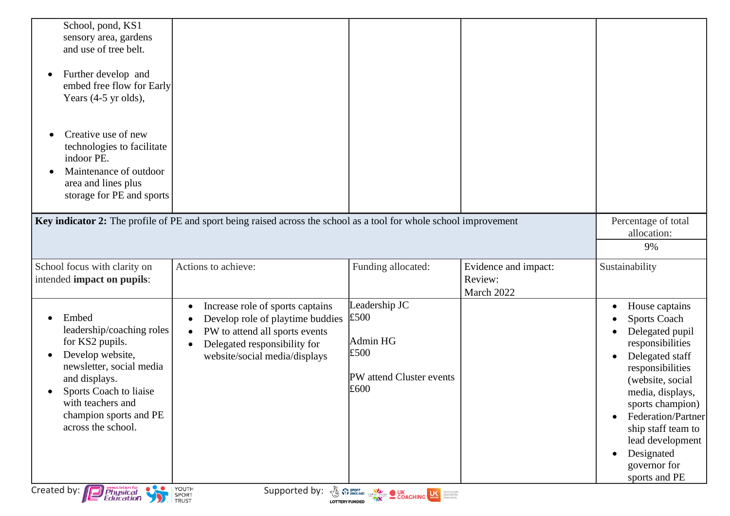| School, pond, KS1<br>sensory area, gardens<br>and use of tree belt.<br>Further develop and<br>٠<br>embed free flow for Early<br>Years (4-5 yr olds),<br>Creative use of new<br>$\bullet$<br>technologies to facilitate<br>indoor PE. |                                                                                                                                                                                      |                                                                               |                                               |                                                                                                                                                                                              |
|--------------------------------------------------------------------------------------------------------------------------------------------------------------------------------------------------------------------------------------|--------------------------------------------------------------------------------------------------------------------------------------------------------------------------------------|-------------------------------------------------------------------------------|-----------------------------------------------|----------------------------------------------------------------------------------------------------------------------------------------------------------------------------------------------|
| Maintenance of outdoor<br>$\bullet$<br>area and lines plus<br>storage for PE and sports                                                                                                                                              |                                                                                                                                                                                      |                                                                               |                                               |                                                                                                                                                                                              |
|                                                                                                                                                                                                                                      | Key indicator 2: The profile of PE and sport being raised across the school as a tool for whole school improvement                                                                   |                                                                               |                                               | Percentage of total<br>allocation:<br>9%                                                                                                                                                     |
| School focus with clarity on<br>intended impact on pupils:                                                                                                                                                                           | Actions to achieve:                                                                                                                                                                  | Funding allocated:                                                            | Evidence and impact:<br>Review:<br>March 2022 | Sustainability                                                                                                                                                                               |
| Embed<br>leadership/coaching roles<br>for KS2 pupils.<br>Develop website,<br>$\bullet$<br>newsletter, social media<br>and displays.<br>Sports Coach to liaise                                                                        | Increase role of sports captains<br>Develop role of playtime buddies<br>PW to attend all sports events<br>$\bullet$<br>Delegated responsibility for<br>website/social media/displays | Leadership JC<br>£500<br>Admin HG<br>£500<br>PW attend Cluster events<br>£600 |                                               | House captains<br><b>Sports Coach</b><br>Delegated pupil<br>responsibilities<br>Delegated staff<br>$\bullet$<br>responsibilities<br>(website, social<br>media, displays,<br>sports champion) |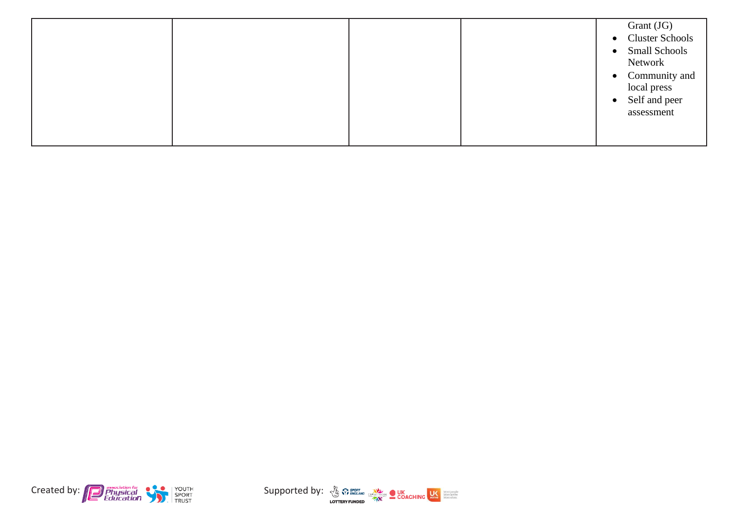|--|



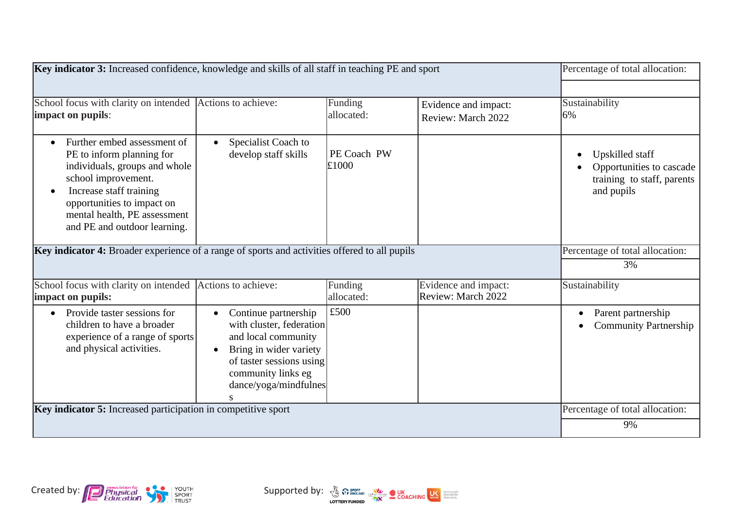| Key indicator 3: Increased confidence, knowledge and skills of all staff in teaching PE and sport                                                                                                                                                      |                                                                                                                                                                                                |                       |                                            | Percentage of total allocation:                                                                                            |
|--------------------------------------------------------------------------------------------------------------------------------------------------------------------------------------------------------------------------------------------------------|------------------------------------------------------------------------------------------------------------------------------------------------------------------------------------------------|-----------------------|--------------------------------------------|----------------------------------------------------------------------------------------------------------------------------|
| School focus with clarity on intended Actions to achieve:<br>impact on pupils:                                                                                                                                                                         |                                                                                                                                                                                                | Funding<br>allocated: | Evidence and impact:<br>Review: March 2022 | Sustainability<br>6%                                                                                                       |
| Further embed assessment of<br>PE to inform planning for<br>individuals, groups and whole<br>school improvement.<br>Increase staff training<br>$\bullet$<br>opportunities to impact on<br>mental health, PE assessment<br>and PE and outdoor learning. | Specialist Coach to<br>$\bullet$<br>develop staff skills                                                                                                                                       | PE Coach PW<br>£1000  |                                            | Upskilled staff<br>Opportunities to cascade<br>training to staff, parents<br>and pupils<br>Percentage of total allocation: |
| Key indicator 4: Broader experience of a range of sports and activities offered to all pupils                                                                                                                                                          |                                                                                                                                                                                                |                       |                                            | 3%                                                                                                                         |
| School focus with clarity on intended Actions to achieve:<br>impact on pupils:                                                                                                                                                                         |                                                                                                                                                                                                | Funding<br>allocated: | Evidence and impact:<br>Review: March 2022 | Sustainability                                                                                                             |
| Provide taster sessions for<br>$\bullet$<br>children to have a broader<br>experience of a range of sports<br>and physical activities.                                                                                                                  | Continue partnership<br>with cluster, federation<br>and local community<br>Bring in wider variety<br>$\bullet$<br>of taster sessions using<br>community links eg<br>dance/yoga/mindfulnes<br>S | £500                  |                                            | Parent partnership<br>$\bullet$<br><b>Community Partnership</b>                                                            |
| Key indicator 5: Increased participation in competitive sport                                                                                                                                                                                          |                                                                                                                                                                                                |                       |                                            | Percentage of total allocation:                                                                                            |
|                                                                                                                                                                                                                                                        |                                                                                                                                                                                                |                       |                                            | 9%                                                                                                                         |

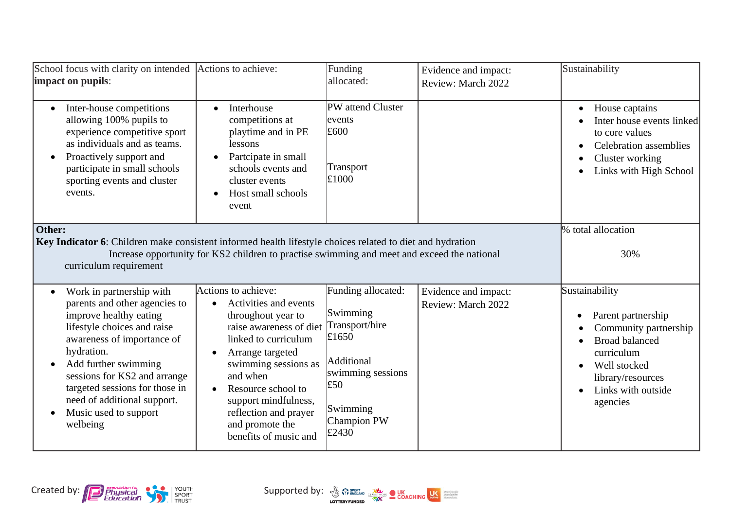| School focus with clarity on intended<br>impact on pupils:                                                                                                                                                                                                                                                                                             | Actions to achieve:                                                                                                                                                                                                                                                                                                        | Funding<br>allocated:                                                                                                                   | Evidence and impact:<br>Review: March 2022 | Sustainability                                                                                                                                                              |
|--------------------------------------------------------------------------------------------------------------------------------------------------------------------------------------------------------------------------------------------------------------------------------------------------------------------------------------------------------|----------------------------------------------------------------------------------------------------------------------------------------------------------------------------------------------------------------------------------------------------------------------------------------------------------------------------|-----------------------------------------------------------------------------------------------------------------------------------------|--------------------------------------------|-----------------------------------------------------------------------------------------------------------------------------------------------------------------------------|
| Inter-house competitions<br>$\bullet$<br>allowing 100% pupils to<br>experience competitive sport<br>as individuals and as teams.<br>Proactively support and<br>$\bullet$<br>participate in small schools<br>sporting events and cluster<br>events.                                                                                                     | Interhouse<br>$\bullet$<br>competitions at<br>playtime and in PE<br>lessons<br>Partcipate in small<br>$\bullet$<br>schools events and<br>cluster events<br>Host small schools<br>$\bullet$<br>event                                                                                                                        | PW attend Cluster<br>events<br>£600<br>Transport<br>£1000                                                                               |                                            | House captains<br>$\bullet$<br>Inter house events linked<br>to core values<br><b>Celebration</b> assemblies<br>Cluster working<br>Links with High School                    |
| Other:<br>Key Indicator 6: Children make consistent informed health lifestyle choices related to diet and hydration<br>curriculum requirement                                                                                                                                                                                                          | Increase opportunity for KS2 children to practise swimming and meet and exceed the national                                                                                                                                                                                                                                |                                                                                                                                         |                                            | % total allocation<br>30%                                                                                                                                                   |
| Work in partnership with<br>$\bullet$<br>parents and other agencies to<br>improve healthy eating<br>lifestyle choices and raise<br>awareness of importance of<br>hydration.<br>Add further swimming<br>$\bullet$<br>sessions for KS2 and arrange<br>targeted sessions for those in<br>need of additional support.<br>Music used to support<br>welbeing | Actions to achieve:<br>Activities and events<br>throughout year to<br>raise awareness of diet<br>linked to curriculum<br>Arrange targeted<br>$\bullet$<br>swimming sessions as<br>and when<br>Resource school to<br>$\bullet$<br>support mindfulness,<br>reflection and prayer<br>and promote the<br>benefits of music and | Funding allocated:<br>Swimming<br>Transport/hire<br>£1650<br>Additional<br>swimming sessions<br>£50<br>Swimming<br>Champion PW<br>£2430 | Evidence and impact:<br>Review: March 2022 | Sustainability<br>Parent partnership<br>Community partnership<br><b>Broad balanced</b><br>curriculum<br>Well stocked<br>library/resources<br>Links with outside<br>agencies |